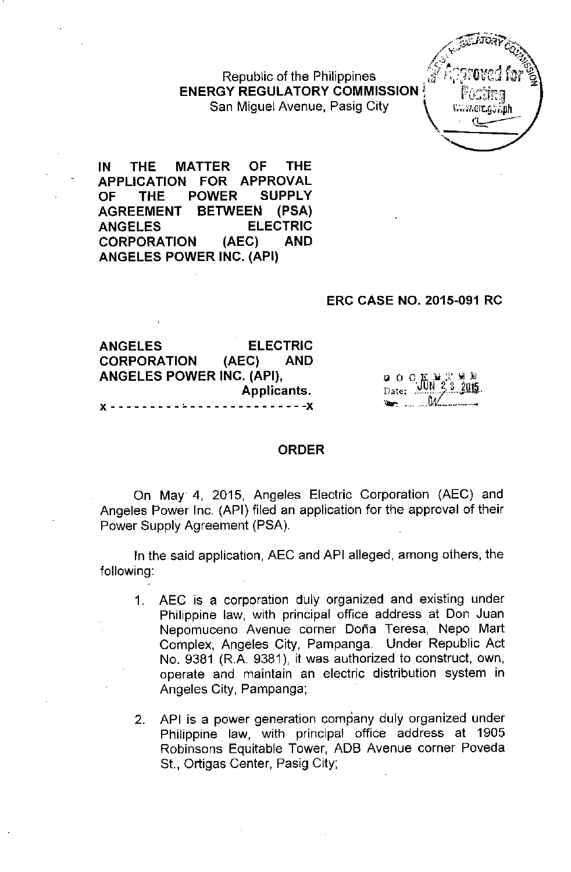Republic of the Philippines ,\$ *i;~/;(j\i'C,j f~r%* **ENERGY REGULATORY COMMISSION** San Miguel Avenue, Pasig City.



**IN THE MATTER OF THE APPLICATION FOR APPROVAL OF THE POWER** SUPPLY **AGREEMENT BETWEEN (PSA) ANGELES ELECTRIC CORPORATION (AEC) AND ANGELES POWER INC. (API)**

## **ERC CASE NO. 2015-091 RC**

**ANGELES ELECTRIC CORPORATION (AEC) AND ANGELES POWER INC. (API),** Applicants.  $\cdot$  - - - - -  $\cdot$  - -  $\cdot$   $\cdot$ 

|   | $0$ O C K E T W D<br>Date: $100 \times 2 = 2015$ . |  |
|---|----------------------------------------------------|--|
|   |                                                    |  |
| ₩ | $\mathbb{W}$                                       |  |

## **ORDER**

On May 4, 2015, Angeles Electric Corporation (AEC) and Angeles Power Inc, (API) filed an application for the approval of their Power Supply Agreement (PSA).

In the said application, AEC and API alleged, among others, the following:

- 1. AEC is a corporation duly organized and existing under Philippine law, with principal office address at Don Juan Nepomuceno Avenue corner Doña Teresa, Nepo Mart Complex, Angeles City, Pampanga. Under Republic Act No. 9381 (R.A. 9381), it was authorized to construct, own, operate and maintain an electric distribution system in Angeles City, Pampanga;
- 2. API is a power generation company duly organized under Philippine law, with principal office address at 1905 Robinsons Equitable Tower, ADS Avenue corner Poveda St., Ortigas Center, Pasig City;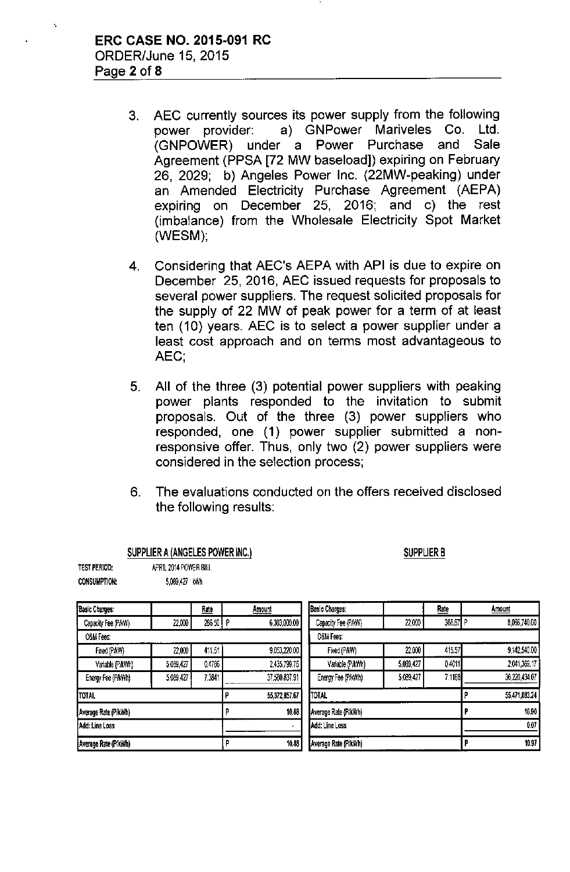SUPPLIER A (ANGELES POWER INC.)

TEST PERIOD: APRIL 2014 POWER BILL

- 3. AEC currently sources its power supply from the following power provider: a) GNPower Mariveles Co. Ltd. (GNPOWER) under a Power Purchase and Sale Agreement (PPSA [72 MW baseload]) expiring on February 26, 2029; b) Angeles Power Inc. (22MW-peaking) under an Amended Electricity Purchase Agreement (AEPA) expiring on December 25, 2016; and c) the rest (imbalance) from the Wholesale Electricity Spot Market (WESM);
- 4. Considering that AEC's AEPA with API is due to expire on December 25, 2016, AEC issued requests for proposals to several power suppliers. The request solicited proposals for the supply of 22 MW of peak power for a term of at least ten (10) years. AEC is to select a power supplier under a least cost approach and on terms most advantageous to AEC',
- 5. All of the three (3) potential power suppliers with peaking power plants responded to the invitation to submit proposals. Out of the three (3) power suppliers who responded, one (1) power supplier submitted a nonresponsive offer. Thus, only two (2) power suppliers were considered in the selection process;
- 6. The evaluations conducted on the offers received disclosed the following results:

SUPPLIER B

| <b>CONSUMPTION:</b>       | 5,089,427 | kWh    |       |                       |                       |           |          |       |               |
|---------------------------|-----------|--------|-------|-----------------------|-----------------------|-----------|----------|-------|---------------|
| <b>Basic Charges:</b>     |           | Rate   |       | Amount                | <b>Basic Charges:</b> |           | Rate     |       | Amount        |
| Capacity Fee (P/kW)       | 22,000    | 286.50 | l P   | 6,303,000.00          | Capacity Fee (P/kW)   | 22,000    | 366.67 P |       | 8,066,740.00  |
| O&M Fees:                 |           |        |       |                       | <b>O&amp;M Fees:</b>  |           |          |       |               |
| Fixed (P/kW)              | 22,000    | 411.51 |       | 9,053,220.00          | Fixed (P/kW)          | 22,000    | 415.57   |       | 9,142,540.00  |
| Variable (P/kWh)          | 5,089,427 | 0.4786 |       | 2,435,799.76          | Variable (P/kWh)      | 5,089,427 | 0.4011   |       | 2,041,369.17  |
| Energy Fee (P/kWh)        | 5,089,427 | 7.3841 |       | 37,580,837.91         | Energy Fee (P/kWh)    | 5,089,427 | 7.1168   |       | 36,220,434.07 |
| TOTAL                     |           |        |       | 55,372,857.67         | TOTAL                 |           |          | о     | 55,471,083.24 |
| Average Rate (P/kWh)      |           |        |       | 10.88                 | Average Rate (P/kWh)  |           |          |       | 10.90         |
| Add: Line Loss            |           |        |       | Add: Line Loss        |                       |           |          | 0.07  |               |
| Average Rate (P/kWh)<br>Р |           |        | 10.88 | (Average Rate (P/kWh) |                       |           |          | 10.97 |               |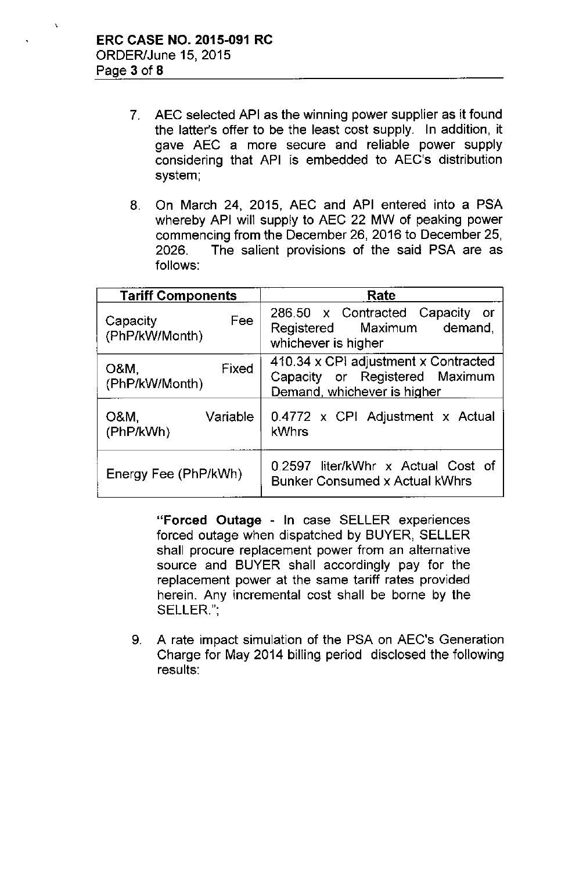$\mathbf{r}$ 

- 7. AEC selected API as the winning power supplier as it found the latter's offer to be the least cost supply. In addition, it gave AEC a more secure and reliable power supply considering that API is embedded to AEC's distribution system;
- 8. On March 24, 2015, AEC and API entered into a PSA whereby API will supply to AEC 22 MW of peaking power commencing from the December 26, 2016 to December 25, 2026. The salient provisions of the said PSA are as follows:

| <b>Tariff Components</b>          | Rate                                                                                                  |  |  |  |
|-----------------------------------|-------------------------------------------------------------------------------------------------------|--|--|--|
| Fee<br>Capacity<br>(PhP/kW/Month) | 286.50 x Contracted Capacity or<br>Registered Maximum demand,<br>whichever is higher                  |  |  |  |
| Fixed<br>O&M,<br>(PhP/kW/Month)   | 410.34 x CPI adjustment x Contracted<br>Capacity or Registered Maximum<br>Demand, whichever is higher |  |  |  |
| Variable<br>O&M,<br>(PhP/kWh)     | 0.4772 x CPI Adjustment x Actual<br>kWhrs                                                             |  |  |  |
| Energy Fee (PhP/kWh)              | 0.2597 liter/kWhr x Actual Cost of<br><b>Bunker Consumed x Actual kWhrs</b>                           |  |  |  |

"Forced **Outage -** In case SELLER experiences forced outage when dispatched by BUYER, SELLER shall procure replacement power from an alternative source and BUYER shall accordingly pay for the replacement power at the same tariff rates provided herein. Any incremental cost shall be borne by the SELLER.";

9. A rate impact simulation of the PSA on AEC's Generation Charge for May 2014 billing period disclosed the following results: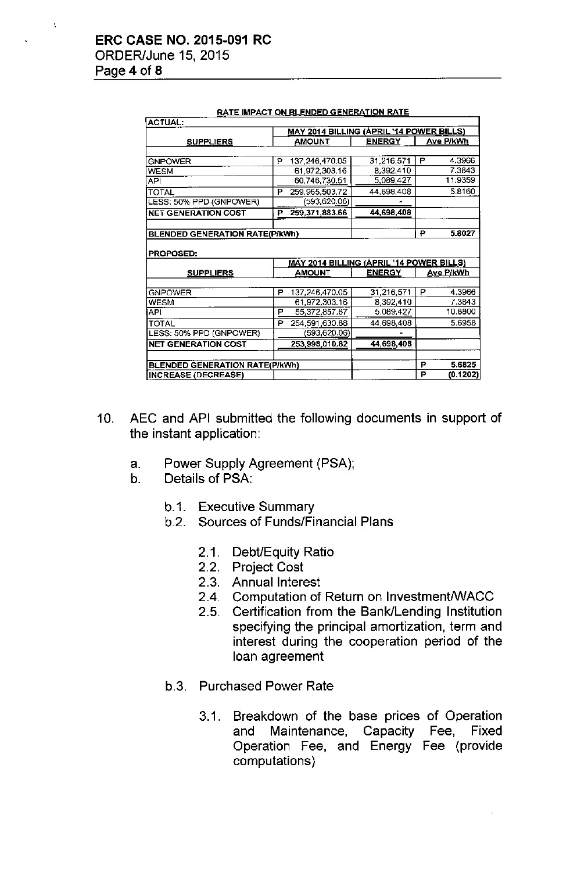| <b>ACTUAL:</b>                        |                                                 |                                                 | <u> 1911 - Imir Avit Vit Beetigeb Generation I varia</u> |                  |           |
|---------------------------------------|-------------------------------------------------|-------------------------------------------------|----------------------------------------------------------|------------------|-----------|
|                                       | <b>MAY 2014 BILLING (ÁPRIL '14 POWER BILLS)</b> |                                                 |                                                          |                  |           |
| <b>SUPPLIERS</b>                      |                                                 | <u>AMOUNT</u>                                   | <b>ENERGY</b>                                            | <b>Ave P/kWh</b> |           |
|                                       |                                                 |                                                 |                                                          |                  |           |
| <b>GNPOWER</b>                        | Р                                               | 137,246,470.05                                  | 31,216,571                                               | Р                | 4.3966    |
| <b>WESM</b>                           |                                                 | 61,972,303.16                                   | 8,392,410                                                |                  | 7.3843    |
| <b>API</b>                            |                                                 | 60,746,730.51                                   | 5,089,427                                                |                  | 11.9359   |
| <b>TOTAL</b>                          | P                                               | 259,965,503.72                                  | 44,698,408                                               |                  | 5.8160    |
| LESS: 50% PPD (GNPOWER)               |                                                 | (593,620.06)                                    |                                                          |                  |           |
| <b>NET GENERATION COST</b>            | Р                                               | 259,371,883.66                                  | 44,698,408                                               |                  |           |
|                                       |                                                 |                                                 |                                                          |                  |           |
| <b>BLENDED GENERATION RATE(P/kWh)</b> |                                                 |                                                 |                                                          | ₽                | 5.8027    |
| <b>PROPOSED:</b>                      |                                                 |                                                 |                                                          |                  |           |
|                                       |                                                 |                                                 |                                                          |                  |           |
|                                       |                                                 | <u>MAY 2014 BILLING (ÁPRIL '14 POWER BILLS)</u> |                                                          |                  |           |
| <b>SUPPLIERS</b>                      |                                                 | AMOUNT                                          | <b>ENERGY</b>                                            |                  | Ave P/kWh |
|                                       |                                                 |                                                 |                                                          |                  |           |
| <b>GNPOWER</b>                        | P                                               | 137,246,470.05                                  | 31,216,571                                               | P                | 4.3966    |
| <b>WESM</b>                           |                                                 | 61,972,303.16                                   | 8,392,410                                                |                  | 7.3843    |
| API                                   | P                                               | 55,372,857.67                                   | 5,089,427                                                |                  | 10.8800   |
| <b>TOTAL</b>                          | P                                               | 254,591,630.88                                  | 44,698,408                                               |                  | 5.6958    |
| LESS: 50% PPD (GNPOWER)               |                                                 | (593,620.06)                                    |                                                          |                  |           |
| <b>NET GENERATION COST</b>            |                                                 | 253,998,010.82                                  | 44,698,408                                               |                  |           |
|                                       |                                                 |                                                 |                                                          |                  |           |
| <b>BLENDED GENERATION RATE(P/kWh)</b> |                                                 |                                                 |                                                          | Р                | 5.6825    |

| <b>RATE IMPACT ON BLENDED GENERATION RATE</b> |  |  |
|-----------------------------------------------|--|--|
|                                               |  |  |

- 10. AEC and API submitted the following documents in support of the instant application:
	- a. Power Supply Agreement (PSA);
	- b. Details of PSA:
		- b.1. Executive Summary
		- b.2. Sources of Funds/Financial Plans
			- 2.1. DebUEquity Ratio
			- 2.2. Project Cost
			- 2.3. Annual Interest
			- 2.4. Computation of Return on Investment/WACC
			- 2.5. Certification from the Bank/Lending Institution specifying the principal amortization, term and interest during the cooperation period of the loan agreement
		- b.3. Purchased Power Rate
			- 3.1. Breakdown of the base prices of Operation and Maintenance, Capacity Fee, Fixed Operation Fee, and Energy Fee (provide computations)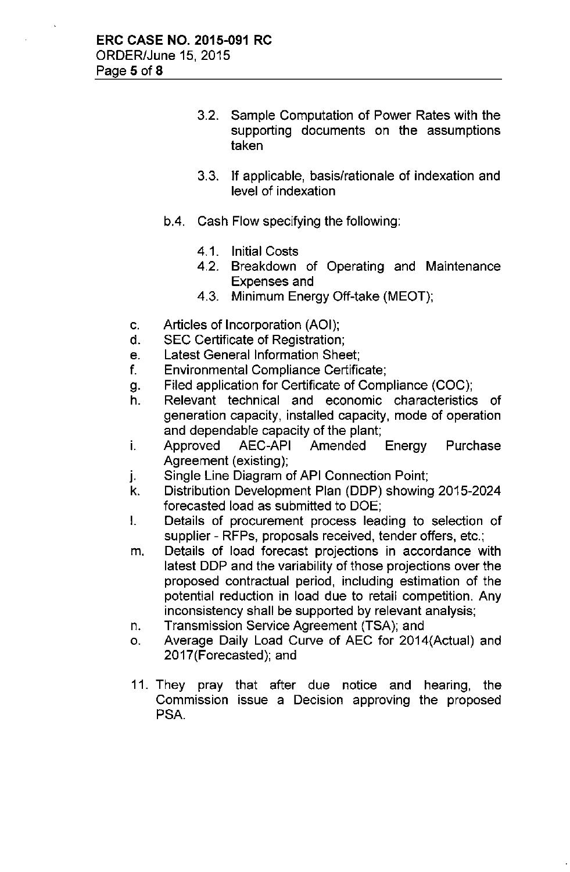- 3.2. Sample Computation of Power Rates with the supporting documents on the assumptions taken
- 3.3. If applicable, basis/rationale of indexation and level of indexation
- bA. Cash Flow specifying the following:
	- 4.1. Initial Costs
	- 4.2. Breakdown of Operating and Maintenance Expenses and
	- 4.3. Minimum Energy Off-take (MEOT);
- c. Articles of Incorporation (AOI);
- d. SEC Certificate of Registration;
- e. Latest General Information Sheet;
- f. Environmental Compliance Certificate;
- g. Filed application for Certificate of Compliance (COC);
- h. Relevant technical and economic characteristics of generation capacity, installed capacity, mode of operation and dependable capacity of the plant;
- i. Approved AEC-API Amended Energy Purchase Agreement (existing);
- j. Single Line Diagram of API Connection Point;
- k. Distribution Development Plan (DDP) showing 2015-2024 forecasted load as submitted to DOE;
- I. Details of procurement process leading to selection of supplier - RFPs, proposals received, tender offers, etc.;
- m. Details of load forecast projections in accordance with latest DDP and the variability of those projections over the proposed contractual period, including estimation of the potential reduction in load due to retail competition. Any inconsistency shall be supported by relevant analysis;
- n. Transmission Service Agreement (TSA); and
- o. Average Daily Load Curve of AEC for 2014(Actual) and 2017(Forecasted); and
- 11. They pray that after due notice and hearing, the Commission issue a Decision approving the proposed PSA.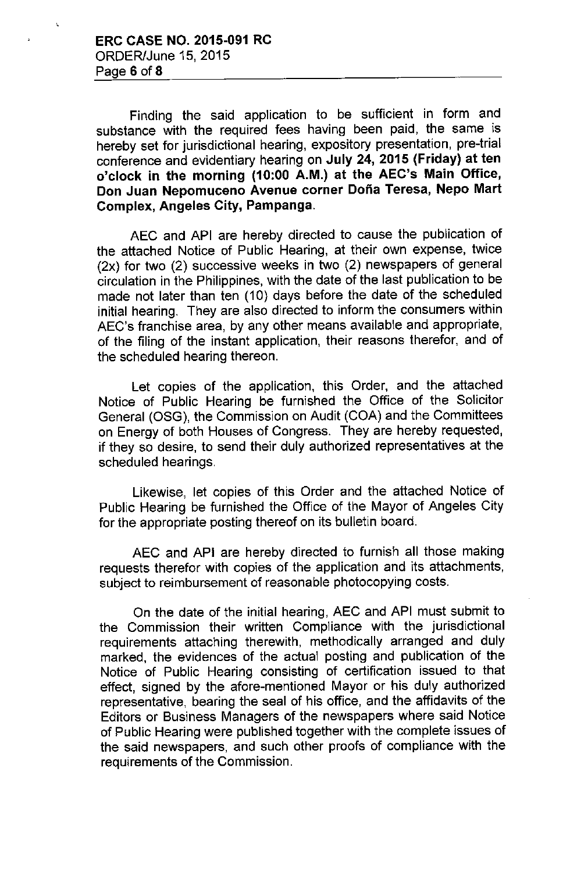Finding the said application to be sufficient in form and substance with the required fees having been paid, the same is hereby set for jurisdictional hearing, expository presentation, pre-trial conference and evidentiary hearing on July 24, 2015 (Friday) at ten o'clock in the morning (10:00 A.M.) at the AEC's Main Office, Don Juan Nepomuceno Avenue corner Doña Teresa, Nepo Mart Complex, Angeles City, Pampanga.

AEC and API are hereby directed to cause the publication of the attached Notice of Public Hearing, at their own expense, twice (2x) for two (2) successive weeks in two (2) newspapers of general circulation in the Philippines, with the date of the last publication to be made not later than ten (10) days before the date of the scheduled initial hearing. They are also directed to inform the consumers within AEC's franchise area, by any other means available and appropriate, of the filing of the instant application, their reasons therefor, and of the scheduled hearing thereon.

Let copies of the application, this Order, and the attached Notice of Public Hearing be furnished the Office of the Solicitor General (OSG), the Commission on Audit (COA) and the Committees on Energy of both Houses of Congress. They are hereby requested, if they so desire, to send their duly authorized representatives at the scheduled hearings.

Likewise, let copies of this Order and the attached Notice of Public Hearing be furnished the Office of the Mayor of Angeles City for the appropriate posting thereof on its bulietin board.

AEC and API are hereby directed to furnish all those making requests therefor with copies of the application and its attachments, subject to reimbursement of reasonable photocopying costs.

On the date of the initial hearing, AEC and API must submit to the Commission their written Compliance with the jurisdictional requirements attaching therewith, methodicaliy arranged and duly marked, the evidences of the actual posting and publication of the Notice of Public Hearing consisting of certification issued to that effect, signed by the afore-mentioned Mayor or his duly authorized representative, bearing the seal of his office, and the affidavits of the Editors or Business Managers of the newspapers where said Notice of Public Hearing were published together with the complete issues of the said newspapers, and such other proofs of compliance with the requirements of the Commission.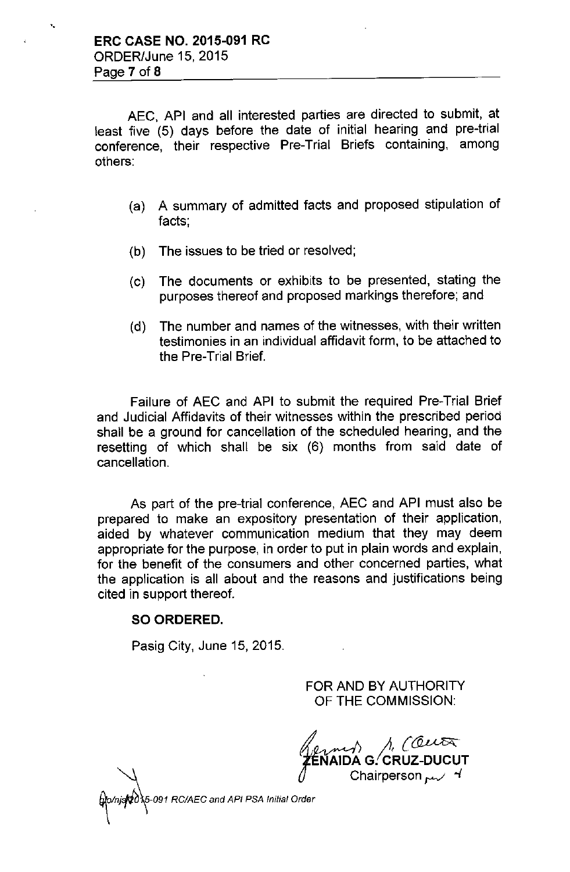'.

AEC, API and all interested parties are directed to submit, at least five (5) days before the date of initial hearing and pre-trial conference, their respective Pre-Trial Briefs containing, among others:

- (a) A summary of admitted facts and proposed stipulation of facts;
- (b) The issues to be tried or resolved;
- (c) The documents or exhibits to be presented, stating the purposes thereof and proposed markings therefore; and
- (d) The number and names of the witnesses, with their written testimonies in an individual affidavit form, to be attached to the Pre-Trial Brief.

Failure of AEC and API to submit the required Pre-Trial Brief and Judicial Affidavits of their witnesses within the prescribed period shall be a ground for cancellation of the scheduled hearing, and the resetting of which shall be six (6) months from said date of cancellation.

As part of the pre-trial conference, AEC and API must also be prepared to make an expository presentation of their application, aided by whatever communication medium that they may deem appropriate for the purpose, in order to put in plain words and explain, for the benefit of the consumers and other concerned parties, what the application is all about and the reasons and justifications being cited in support thereof.

## SO ORDERED.

Pasig City, June 15, 2015.

FOR AND BY AUTHORITY OF THE COMMISSION:

A COUT △ **1** Divided boot

*tni'flb'¥t091 RC/AEC and API PSA IniJialOrder*